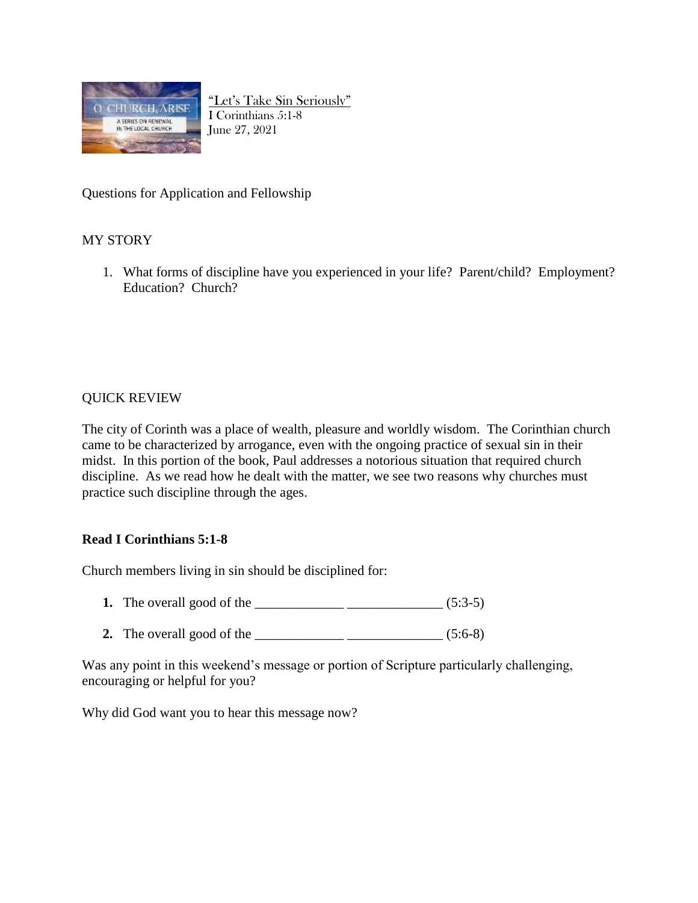

"Let's Take Sin Seriously" I Corinthians 5:1-8 June 27, 2021

Questions for Application and Fellowship

## MY STORY

1. What forms of discipline have you experienced in your life? Parent/child? Employment? Education? Church?

## QUICK REVIEW

The city of Corinth was a place of wealth, pleasure and worldly wisdom. The Corinthian church came to be characterized by arrogance, even with the ongoing practice of sexual sin in their midst. In this portion of the book, Paul addresses a notorious situation that required church discipline. As we read how he dealt with the matter, we see two reasons why churches must practice such discipline through the ages.

## **Read I Corinthians 5:1-8**

Church members living in sin should be disciplined for:

- **1.** The overall good of the \_\_\_\_\_\_\_\_\_\_\_\_\_ \_\_\_\_\_\_\_\_\_\_\_\_\_\_ (5:3-5)
- 2. The overall good of the  $\qquad \qquad$  (5:6-8)

Was any point in this weekend's message or portion of Scripture particularly challenging, encouraging or helpful for you?

Why did God want you to hear this message now?